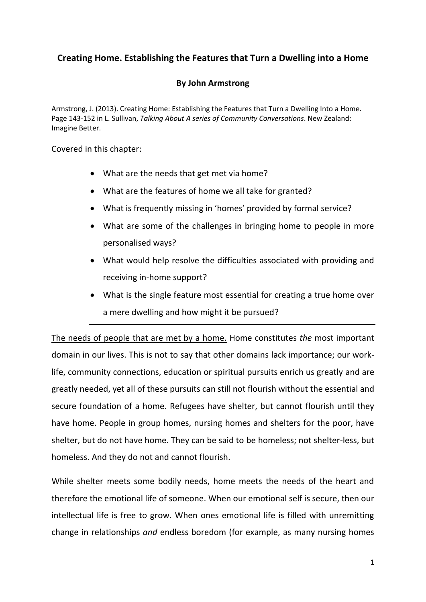#### **Creating Home. Establishing the Features that Turn a Dwelling into a Home**

#### **By John Armstrong**

Armstrong, J. (2013). Creating Home: Establishing the Features that Turn a Dwelling Into a Home. Page 143-152 in L. Sullivan, *Talking About A series of Community Conversations*. New Zealand: Imagine Better.

Covered in this chapter:

- What are the needs that get met via home?
- What are the features of home we all take for granted?
- What is frequently missing in 'homes' provided by formal service?
- What are some of the challenges in bringing home to people in more personalised ways?
- What would help resolve the difficulties associated with providing and receiving in-home support?
- What is the single feature most essential for creating a true home over a mere dwelling and how might it be pursued?

The needs of people that are met by a home. Home constitutes *the* most important domain in our lives. This is not to say that other domains lack importance; our worklife, community connections, education or spiritual pursuits enrich us greatly and are greatly needed, yet all of these pursuits can still not flourish without the essential and secure foundation of a home. Refugees have shelter, but cannot flourish until they have home. People in group homes, nursing homes and shelters for the poor, have shelter, but do not have home. They can be said to be homeless; not shelter-less, but homeless. And they do not and cannot flourish.

While shelter meets some bodily needs, home meets the needs of the heart and therefore the emotional life of someone. When our emotional self is secure, then our intellectual life is free to grow. When ones emotional life is filled with unremitting change in relationships *and* endless boredom (for example, as many nursing homes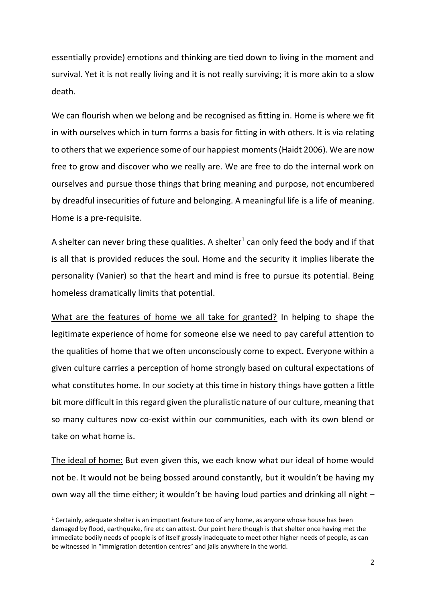essentially provide) emotions and thinking are tied down to living in the moment and survival. Yet it is not really living and it is not really surviving; it is more akin to a slow death.

We can flourish when we belong and be recognised as fitting in. Home is where we fit in with ourselves which in turn forms a basis for fitting in with others. It is via relating to others that we experience some of our happiest moments (Haidt 2006). We are now free to grow and discover who we really are. We are free to do the internal work on ourselves and pursue those things that bring meaning and purpose, not encumbered by dreadful insecurities of future and belonging. A meaningful life is a life of meaning. Home is a pre-requisite.

A shelter can never bring these qualities. A shelter<sup>1</sup> can only feed the body and if that is all that is provided reduces the soul. Home and the security it implies liberate the personality (Vanier) so that the heart and mind is free to pursue its potential. Being homeless dramatically limits that potential.

What are the features of home we all take for granted? In helping to shape the legitimate experience of home for someone else we need to pay careful attention to the qualities of home that we often unconsciously come to expect. Everyone within a given culture carries a perception of home strongly based on cultural expectations of what constitutes home. In our society at this time in history things have gotten a little bit more difficult in this regard given the pluralistic nature of our culture, meaning that so many cultures now co-exist within our communities, each with its own blend or take on what home is.

The ideal of home: But even given this, we each know what our ideal of home would not be. It would not be being bossed around constantly, but it wouldn't be having my own way all the time either; it wouldn't be having loud parties and drinking all night –

 $1$  Certainly, adequate shelter is an important feature too of any home, as anyone whose house has been damaged by flood, earthquake, fire etc can attest. Our point here though is that shelter once having met the immediate bodily needs of people is of itself grossly inadequate to meet other higher needs of people, as can be witnessed in "immigration detention centres" and jails anywhere in the world.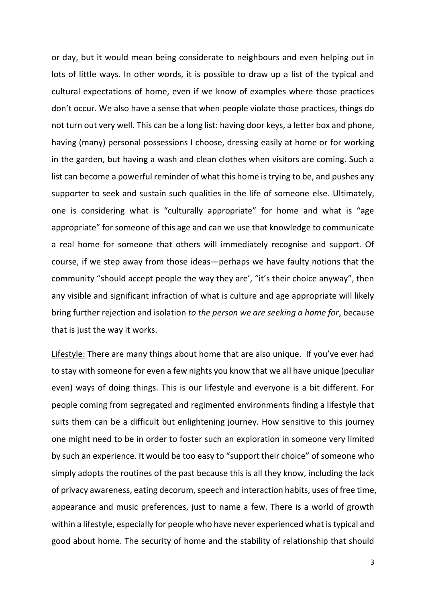or day, but it would mean being considerate to neighbours and even helping out in lots of little ways. In other words, it is possible to draw up a list of the typical and cultural expectations of home, even if we know of examples where those practices don't occur. We also have a sense that when people violate those practices, things do not turn out very well. This can be a long list: having door keys, a letter box and phone, having (many) personal possessions I choose, dressing easily at home or for working in the garden, but having a wash and clean clothes when visitors are coming. Such a list can become a powerful reminder of what this home is trying to be, and pushes any supporter to seek and sustain such qualities in the life of someone else. Ultimately, one is considering what is "culturally appropriate" for home and what is "age appropriate" for someone of this age and can we use that knowledge to communicate a real home for someone that others will immediately recognise and support. Of course, if we step away from those ideas—perhaps we have faulty notions that the community "should accept people the way they are', "it's their choice anyway", then any visible and significant infraction of what is culture and age appropriate will likely bring further rejection and isolation *to the person we are seeking a home for*, because that is just the way it works.

Lifestyle: There are many things about home that are also unique. If you've ever had to stay with someone for even a few nights you know that we all have unique (peculiar even) ways of doing things. This is our lifestyle and everyone is a bit different. For people coming from segregated and regimented environments finding a lifestyle that suits them can be a difficult but enlightening journey. How sensitive to this journey one might need to be in order to foster such an exploration in someone very limited by such an experience. It would be too easy to "support their choice" of someone who simply adopts the routines of the past because this is all they know, including the lack of privacy awareness, eating decorum, speech and interaction habits, uses of free time, appearance and music preferences, just to name a few. There is a world of growth within a lifestyle, especially for people who have never experienced what is typical and good about home. The security of home and the stability of relationship that should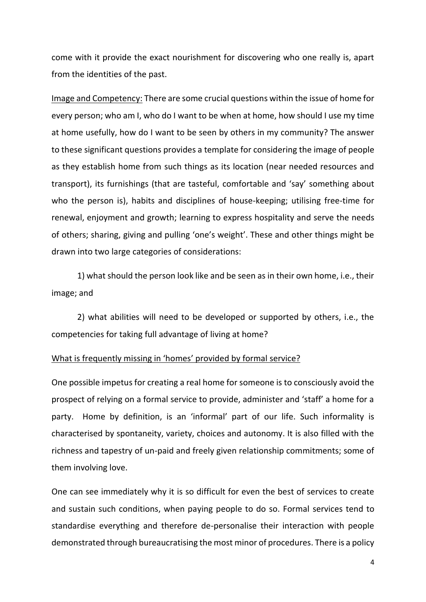come with it provide the exact nourishment for discovering who one really is, apart from the identities of the past.

Image and Competency: There are some crucial questions within the issue of home for every person; who am I, who do I want to be when at home, how should I use my time at home usefully, how do I want to be seen by others in my community? The answer to these significant questions provides a template for considering the image of people as they establish home from such things as its location (near needed resources and transport), its furnishings (that are tasteful, comfortable and 'say' something about who the person is), habits and disciplines of house-keeping; utilising free-time for renewal, enjoyment and growth; learning to express hospitality and serve the needs of others; sharing, giving and pulling 'one's weight'. These and other things might be drawn into two large categories of considerations:

1) what should the person look like and be seen as in their own home, i.e., their image; and

2) what abilities will need to be developed or supported by others, i.e., the competencies for taking full advantage of living at home?

#### What is frequently missing in 'homes' provided by formal service?

One possible impetus for creating a real home for someone is to consciously avoid the prospect of relying on a formal service to provide, administer and 'staff' a home for a party. Home by definition, is an 'informal' part of our life. Such informality is characterised by spontaneity, variety, choices and autonomy. It is also filled with the richness and tapestry of un-paid and freely given relationship commitments; some of them involving love.

One can see immediately why it is so difficult for even the best of services to create and sustain such conditions, when paying people to do so. Formal services tend to standardise everything and therefore de-personalise their interaction with people demonstrated through bureaucratising the most minor of procedures. There is a policy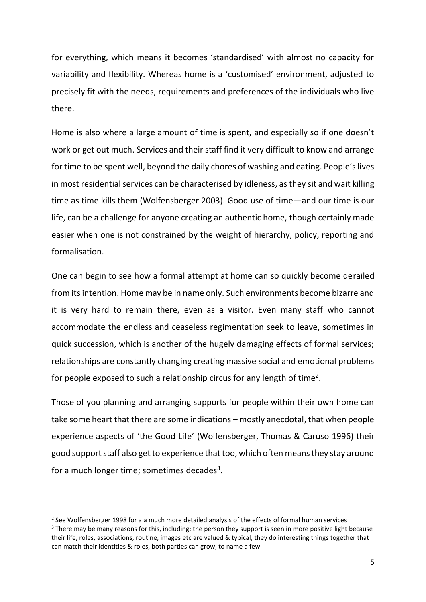for everything, which means it becomes 'standardised' with almost no capacity for variability and flexibility. Whereas home is a 'customised' environment, adjusted to precisely fit with the needs, requirements and preferences of the individuals who live there.

Home is also where a large amount of time is spent, and especially so if one doesn't work or get out much. Services and their staff find it very difficult to know and arrange for time to be spent well, beyond the daily chores of washing and eating. People's lives in most residential services can be characterised by idleness, as they sit and wait killing time as time kills them (Wolfensberger 2003). Good use of time—and our time is our life, can be a challenge for anyone creating an authentic home, though certainly made easier when one is not constrained by the weight of hierarchy, policy, reporting and formalisation.

One can begin to see how a formal attempt at home can so quickly become derailed from its intention. Home may be in name only. Such environments become bizarre and it is very hard to remain there, even as a visitor. Even many staff who cannot accommodate the endless and ceaseless regimentation seek to leave, sometimes in quick succession, which is another of the hugely damaging effects of formal services; relationships are constantly changing creating massive social and emotional problems for people exposed to such a relationship circus for any length of time<sup>2</sup>.

Those of you planning and arranging supports for people within their own home can take some heart that there are some indications – mostly anecdotal, that when people experience aspects of 'the Good Life' (Wolfensberger, Thomas & Caruso 1996) their good support staff also get to experience that too, which often means they stay around for a much longer time; sometimes decades<sup>3</sup>.

 $2$  See Wolfensberger 1998 for a a much more detailed analysis of the effects of formal human services <sup>3</sup> There may be many reasons for this, including: the person they support is seen in more positive light because their life, roles, associations, routine, images etc are valued & typical, they do interesting things together that can match their identities & roles, both parties can grow, to name a few.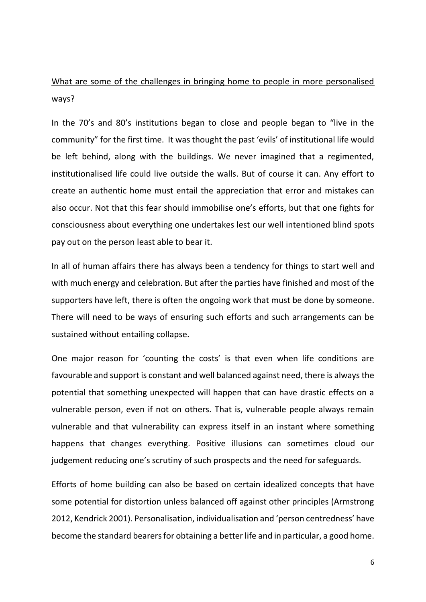# What are some of the challenges in bringing home to people in more personalised ways?

In the 70's and 80's institutions began to close and people began to "live in the community" for the first time. It was thought the past 'evils' of institutional life would be left behind, along with the buildings. We never imagined that a regimented, institutionalised life could live outside the walls. But of course it can. Any effort to create an authentic home must entail the appreciation that error and mistakes can also occur. Not that this fear should immobilise one's efforts, but that one fights for consciousness about everything one undertakes lest our well intentioned blind spots pay out on the person least able to bear it.

In all of human affairs there has always been a tendency for things to start well and with much energy and celebration. But after the parties have finished and most of the supporters have left, there is often the ongoing work that must be done by someone. There will need to be ways of ensuring such efforts and such arrangements can be sustained without entailing collapse.

One major reason for 'counting the costs' is that even when life conditions are favourable and support is constant and well balanced against need, there is always the potential that something unexpected will happen that can have drastic effects on a vulnerable person, even if not on others. That is, vulnerable people always remain vulnerable and that vulnerability can express itself in an instant where something happens that changes everything. Positive illusions can sometimes cloud our judgement reducing one's scrutiny of such prospects and the need for safeguards.

Efforts of home building can also be based on certain idealized concepts that have some potential for distortion unless balanced off against other principles (Armstrong 2012, Kendrick 2001). Personalisation, individualisation and 'person centredness' have become the standard bearers for obtaining a better life and in particular, a good home.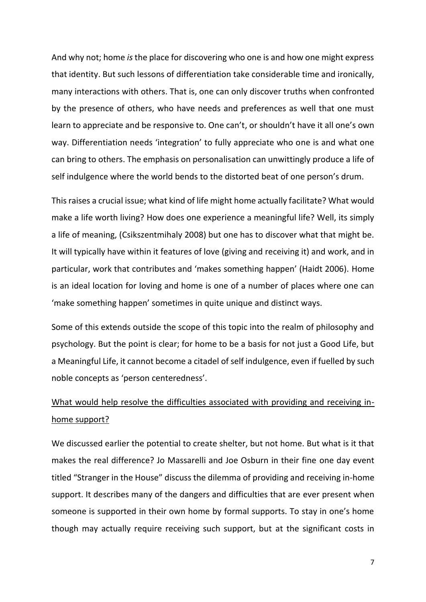And why not; home *is* the place for discovering who one is and how one might express that identity. But such lessons of differentiation take considerable time and ironically, many interactions with others. That is, one can only discover truths when confronted by the presence of others, who have needs and preferences as well that one must learn to appreciate and be responsive to. One can't, or shouldn't have it all one's own way. Differentiation needs 'integration' to fully appreciate who one is and what one can bring to others. The emphasis on personalisation can unwittingly produce a life of self indulgence where the world bends to the distorted beat of one person's drum.

This raises a crucial issue; what kind of life might home actually facilitate? What would make a life worth living? How does one experience a meaningful life? Well, its simply a life of meaning, (Csikszentmihaly 2008) but one has to discover what that might be. It will typically have within it features of love (giving and receiving it) and work, and in particular, work that contributes and 'makes something happen' (Haidt 2006). Home is an ideal location for loving and home is one of a number of places where one can 'make something happen' sometimes in quite unique and distinct ways.

Some of this extends outside the scope of this topic into the realm of philosophy and psychology. But the point is clear; for home to be a basis for not just a Good Life, but a Meaningful Life, it cannot become a citadel of self indulgence, even if fuelled by such noble concepts as 'person centeredness'.

# What would help resolve the difficulties associated with providing and receiving inhome support?

We discussed earlier the potential to create shelter, but not home. But what is it that makes the real difference? Jo Massarelli and Joe Osburn in their fine one day event titled "Stranger in the House" discuss the dilemma of providing and receiving in-home support. It describes many of the dangers and difficulties that are ever present when someone is supported in their own home by formal supports. To stay in one's home though may actually require receiving such support, but at the significant costs in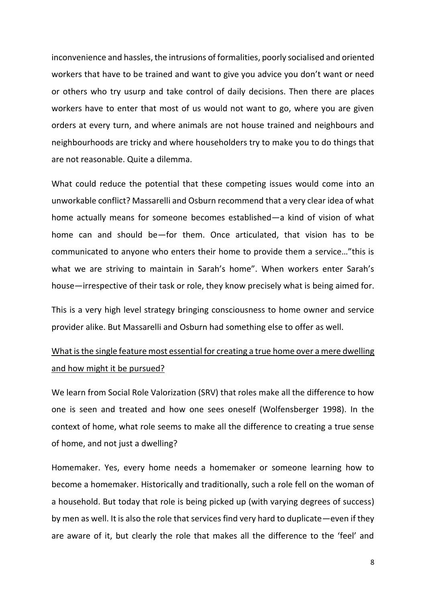inconvenience and hassles, the intrusions of formalities, poorly socialised and oriented workers that have to be trained and want to give you advice you don't want or need or others who try usurp and take control of daily decisions. Then there are places workers have to enter that most of us would not want to go, where you are given orders at every turn, and where animals are not house trained and neighbours and neighbourhoods are tricky and where householders try to make you to do things that are not reasonable. Quite a dilemma.

What could reduce the potential that these competing issues would come into an unworkable conflict? Massarelli and Osburn recommend that a very clear idea of what home actually means for someone becomes established—a kind of vision of what home can and should be—for them. Once articulated, that vision has to be communicated to anyone who enters their home to provide them a service…"this is what we are striving to maintain in Sarah's home". When workers enter Sarah's house—irrespective of their task or role, they know precisely what is being aimed for.

This is a very high level strategy bringing consciousness to home owner and service provider alike. But Massarelli and Osburn had something else to offer as well.

### What is the single feature most essential for creating a true home over a mere dwelling and how might it be pursued?

We learn from Social Role Valorization (SRV) that roles make all the difference to how one is seen and treated and how one sees oneself (Wolfensberger 1998). In the context of home, what role seems to make all the difference to creating a true sense of home, and not just a dwelling?

Homemaker. Yes, every home needs a homemaker or someone learning how to become a homemaker. Historically and traditionally, such a role fell on the woman of a household. But today that role is being picked up (with varying degrees of success) by men as well. It is also the role that services find very hard to duplicate—even if they are aware of it, but clearly the role that makes all the difference to the 'feel' and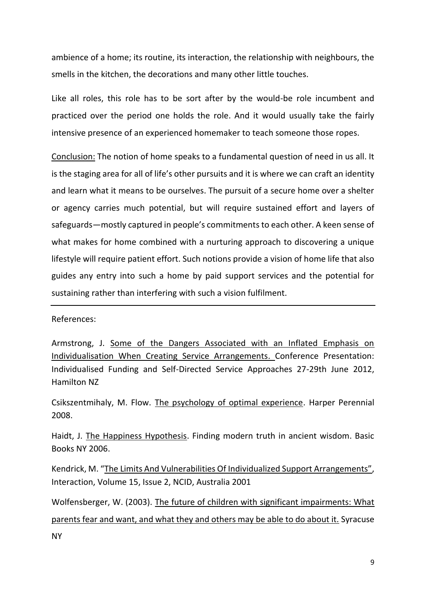ambience of a home; its routine, its interaction, the relationship with neighbours, the smells in the kitchen, the decorations and many other little touches.

Like all roles, this role has to be sort after by the would-be role incumbent and practiced over the period one holds the role. And it would usually take the fairly intensive presence of an experienced homemaker to teach someone those ropes.

Conclusion: The notion of home speaks to a fundamental question of need in us all. It is the staging area for all of life's other pursuits and it is where we can craft an identity and learn what it means to be ourselves. The pursuit of a secure home over a shelter or agency carries much potential, but will require sustained effort and layers of safeguards—mostly captured in people's commitments to each other. A keen sense of what makes for home combined with a nurturing approach to discovering a unique lifestyle will require patient effort. Such notions provide a vision of home life that also guides any entry into such a home by paid support services and the potential for sustaining rather than interfering with such a vision fulfilment.

References:

Armstrong, J. Some of the Dangers Associated with an Inflated Emphasis on Individualisation When Creating Service Arrangements. Conference Presentation: Individualised Funding and Self-Directed Service Approaches 27-29th June 2012, Hamilton NZ

Csikszentmihaly, M. Flow. The psychology of optimal experience. Harper Perennial 2008.

Haidt, J. The Happiness Hypothesis. Finding modern truth in ancient wisdom. Basic Books NY 2006.

Kendrick, M. "The Limits And Vulnerabilities Of Individualized Support Arrangements", Interaction, Volume 15, Issue 2, NCID, Australia 2001

Wolfensberger, W. (2003). The future of children with significant impairments: What parents fear and want, and what they and others may be able to do about it. Syracuse NY